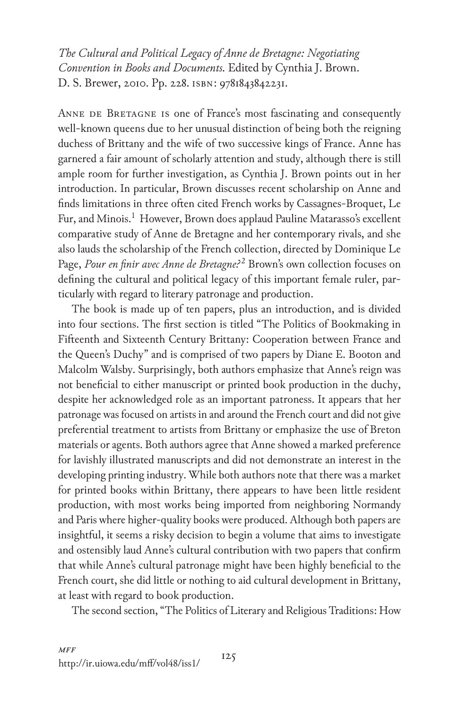*The Cultural and Political Legacy of Anne de Bretagne: Negotiating Convention in Books and Documents.* Edited by Cynthia J. Brown. D. S. Brewer, 2010. Pp. 228. isbn: 9781843842231.

ANNE DE BRETAGNE IS one of France's most fascinating and consequently well-known queens due to her unusual distinction of being both the reigning duchess of Brittany and the wife of two successive kings of France. Anne has garnered a fair amount of scholarly attention and study, although there is still ample room for further investigation, as Cynthia J. Brown points out in her introduction. In particular, Brown discusses recent scholarship on Anne and finds limitations in three often cited French works by Cassagnes-Broquet, Le Fur, and Minois.<sup>1</sup> However, Brown does applaud Pauline Matarasso's excellent comparative study of Anne de Bretagne and her contemporary rivals, and she also lauds the scholarship of the French collection, directed by Dominique Le Page, *Pour en finir avec Anne de Bretagne:<sup>22</sup> Brown's own collection focuses on* defining the cultural and political legacy of this important female ruler, particularly with regard to literary patronage and production.

The book is made up of ten papers, plus an introduction, and is divided into four sections. The first section is titled "The Politics of Bookmaking in Fifteenth and Sixteenth Century Brittany: Cooperation between France and the Queen's Duchy" and is comprised of two papers by Diane E. Booton and Malcolm Walsby. Surprisingly, both authors emphasize that Anne's reign was not beneficial to either manuscript or printed book production in the duchy, despite her acknowledged role as an important patroness. It appears that her patronage was focused on artists in and around the French court and did not give preferential treatment to artists from Brittany or emphasize the use of Breton materials or agents. Both authors agree that Anne showed a marked preference for lavishly illustrated manuscripts and did not demonstrate an interest in the developing printing industry. While both authors note that there was a market for printed books within Brittany, there appears to have been little resident production, with most works being imported from neighboring Normandy and Paris where higher-quality books were produced. Although both papers are insightful, it seems a risky decision to begin a volume that aims to investigate and ostensibly laud Anne's cultural contribution with two papers that confirm that while Anne's cultural patronage might have been highly beneficial to the French court, she did little or nothing to aid cultural development in Brittany, at least with regard to book production.

The second section, "The Politics of Literary and Religious Traditions: How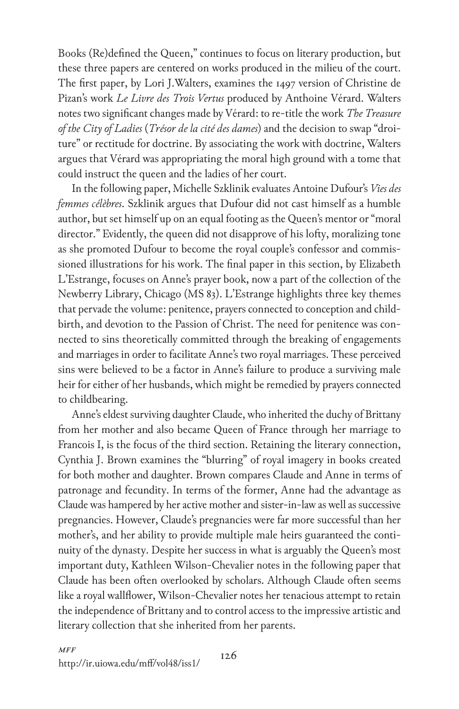Books (Re)defined the Queen," continues to focus on literary production, but these three papers are centered on works produced in the milieu of the court. The first paper, by Lori J.Walters, examines the 1497 version of Christine de Pizan's work *Le Livre des Trois Vertus* produced by Anthoine Vérard. Walters notes two significant changes made by Vérard: to re-title the work *The Treasure of the City of Ladies* (*Trésor de la cité des dames*) and the decision to swap "droiture" or rectitude for doctrine. By associating the work with doctrine, Walters argues that Vérard was appropriating the moral high ground with a tome that could instruct the queen and the ladies of her court.

In the following paper, Michelle Szklinik evaluates Antoine Dufour's *Vies des femmes célèbres*. Szklinik argues that Dufour did not cast himself as a humble author, but set himself up on an equal footing as the Queen's mentor or "moral director." Evidently, the queen did not disapprove of his lofty, moralizing tone as she promoted Dufour to become the royal couple's confessor and commissioned illustrations for his work. The final paper in this section, by Elizabeth L'Estrange, focuses on Anne's prayer book, now a part of the collection of the Newberry Library, Chicago (MS 83). L'Estrange highlights three key themes that pervade the volume: penitence, prayers connected to conception and childbirth, and devotion to the Passion of Christ. The need for penitence was connected to sins theoretically committed through the breaking of engagements and marriages in order to facilitate Anne's two royal marriages. These perceived sins were believed to be a factor in Anne's failure to produce a surviving male heir for either of her husbands, which might be remedied by prayers connected to childbearing.

Anne's eldest surviving daughter Claude, who inherited the duchy of Brittany from her mother and also became Queen of France through her marriage to Francois I, is the focus of the third section. Retaining the literary connection, Cynthia J. Brown examines the "blurring" of royal imagery in books created for both mother and daughter. Brown compares Claude and Anne in terms of patronage and fecundity. In terms of the former, Anne had the advantage as Claude was hampered by her active mother and sister-in-law as well as successive pregnancies. However, Claude's pregnancies were far more successful than her mother's, and her ability to provide multiple male heirs guaranteed the continuity of the dynasty. Despite her success in what is arguably the Queen's most important duty, Kathleen Wilson-Chevalier notes in the following paper that Claude has been often overlooked by scholars. Although Claude often seems like a royal wallflower, Wilson-Chevalier notes her tenacious attempt to retain the independence of Brittany and to control access to the impressive artistic and literary collection that she inherited from her parents.